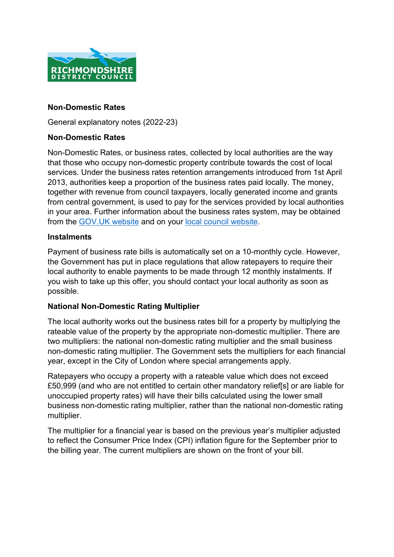

#### **Non-Domestic Rates**

General explanatory notes (2022-23)

#### **Non-Domestic Rates**

Non-Domestic Rates, or business rates, collected by local authorities are the way that those who occupy non-domestic property contribute towards the cost of local services. Under the business rates retention arrangements introduced from 1st April 2013, authorities keep a proportion of the business rates paid locally. The money, together with revenue from council taxpayers, locally generated income and grants from central government, is used to pay for the services provided by local authorities in your area. Further information about the business rates system, may be obtained from the [GOV.UK website](https://www.gov.uk/introduction-to-business-rates) and on your [local council website.](https://www.richmondshire.gov.uk/council-tax-and-business-rates/)

#### **Instalments**

Payment of business rate bills is automatically set on a 10-monthly cycle. However, the Government has put in place regulations that allow ratepayers to require their local authority to enable payments to be made through 12 monthly instalments. If you wish to take up this offer, you should contact your local authority as soon as possible.

#### **National Non-Domestic Rating Multiplier**

The local authority works out the business rates bill for a property by multiplying the rateable value of the property by the appropriate non-domestic multiplier. There are two multipliers: the national non-domestic rating multiplier and the small business non-domestic rating multiplier. The Government sets the multipliers for each financial year, except in the City of London where special arrangements apply.

Ratepayers who occupy a property with a rateable value which does not exceed £50,999 (and who are not entitled to certain other mandatory relief[s] or are liable for unoccupied property rates) will have their bills calculated using the lower small business non-domestic rating multiplier, rather than the national non-domestic rating multiplier.

The multiplier for a financial year is based on the previous year's multiplier adjusted to reflect the Consumer Price Index (CPI) inflation figure for the September prior to the billing year. The current multipliers are shown on the front of your bill.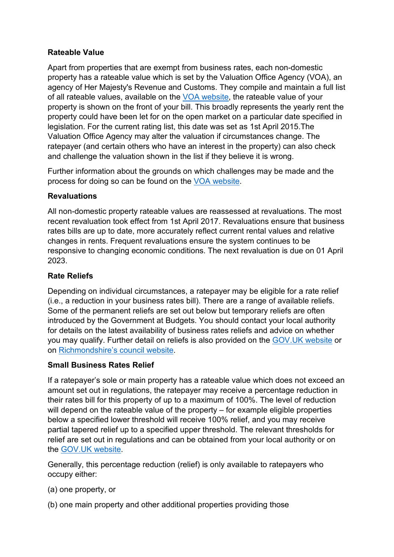# **Rateable Value**

Apart from properties that are exempt from business rates, each non-domestic property has a rateable value which is set by the Valuation Office Agency (VOA), an agency of Her Majesty's Revenue and Customs. They compile and maintain a full list of all rateable values, available on the [VOA website,](https://www.gov.uk/government/organisations/valuation-office-agency) the rateable value of your property is shown on the front of your bill. This broadly represents the yearly rent the property could have been let for on the open market on a particular date specified in legislation. For the current rating list, this date was set as 1st April 2015.The Valuation Office Agency may alter the valuation if circumstances change. The ratepayer (and certain others who have an interest in the property) can also check and challenge the valuation shown in the list if they believe it is wrong.

Further information about the grounds on which challenges may be made and the process for doing so can be found on the [VOA website.](https://www.gov.uk/government/collections/check-and-challenge-step-by-step)

### **Revaluations**

All non-domestic property rateable values are reassessed at revaluations. The most recent revaluation took effect from 1st April 2017. Revaluations ensure that business rates bills are up to date, more accurately reflect current rental values and relative changes in rents. Frequent revaluations ensure the system continues to be responsive to changing economic conditions. The next revaluation is due on 01 April 2023.

### **Rate Reliefs**

Depending on individual circumstances, a ratepayer may be eligible for a rate relief (i.e., a reduction in your business rates bill). There are a range of available reliefs. Some of the permanent reliefs are set out below but temporary reliefs are often introduced by the Government at Budgets. You should contact your local authority for details on the latest availability of business rates reliefs and advice on whether you may qualify. Further detail on reliefs is also provided on the [GOV.UK website](https://www.gov.uk/introduction-to-business-rates) or on [Richmondshire's council website.](https://www.richmondshire.gov.uk/council-tax-and-business-rates/)

### **Small Business Rates Relief**

If a ratepayer's sole or main property has a rateable value which does not exceed an amount set out in regulations, the ratepayer may receive a percentage reduction in their rates bill for this property of up to a maximum of 100%. The level of reduction will depend on the rateable value of the property – for example eligible properties below a specified lower threshold will receive 100% relief, and you may receive partial tapered relief up to a specified upper threshold. The relevant thresholds for relief are set out in regulations and can be obtained from your local authority or on the [GOV.UK website.](https://www.gov.uk/introduction-to-business-rates)

Generally, this percentage reduction (relief) is only available to ratepayers who occupy either:

- (a) one property, or
- (b) one main property and other additional properties providing those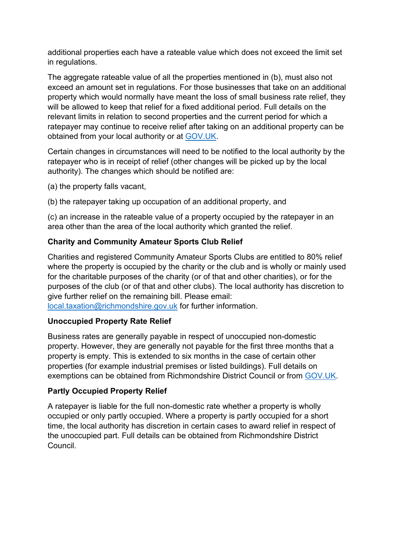additional properties each have a rateable value which does not exceed the limit set in regulations.

The aggregate rateable value of all the properties mentioned in (b), must also not exceed an amount set in regulations. For those businesses that take on an additional property which would normally have meant the loss of small business rate relief, they will be allowed to keep that relief for a fixed additional period. Full details on the relevant limits in relation to second properties and the current period for which a ratepayer may continue to receive relief after taking on an additional property can be obtained from your local authority or at [GOV.UK.](https://www.gov.uk/introduction-to-business-rates)

Certain changes in circumstances will need to be notified to the local authority by the ratepayer who is in receipt of relief (other changes will be picked up by the local authority). The changes which should be notified are:

(a) the property falls vacant,

(b) the ratepayer taking up occupation of an additional property, and

(c) an increase in the rateable value of a property occupied by the ratepayer in an area other than the area of the local authority which granted the relief.

### **Charity and Community Amateur Sports Club Relief**

Charities and registered Community Amateur Sports Clubs are entitled to 80% relief where the property is occupied by the charity or the club and is wholly or mainly used for the charitable purposes of the charity (or of that and other charities), or for the purposes of the club (or of that and other clubs). The local authority has discretion to give further relief on the remaining bill. Please email:

[local.taxation@richmondshire.gov.uk](mailto:local.taxation@richmondshire.gov.uk) for further information.

### **Unoccupied Property Rate Relief**

Business rates are generally payable in respect of unoccupied non-domestic property. However, they are generally not payable for the first three months that a property is empty. This is extended to six months in the case of certain other properties (for example industrial premises or listed buildings). Full details on exemptions can be obtained from Richmondshire District Council or from [GOV.UK.](https://www.gov.uk/introduction-to-business-rates)

### **Partly Occupied Property Relief**

A ratepayer is liable for the full non-domestic rate whether a property is wholly occupied or only partly occupied. Where a property is partly occupied for a short time, the local authority has discretion in certain cases to award relief in respect of the unoccupied part. Full details can be obtained from Richmondshire District Council.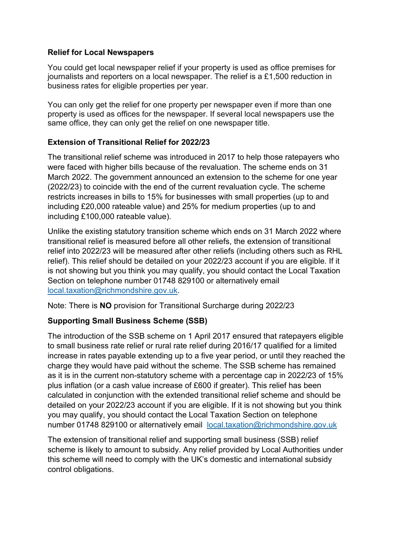#### **Relief for Local Newspapers**

You could get local newspaper relief if your property is used as office premises for journalists and reporters on a local newspaper. The relief is a £1,500 reduction in business rates for eligible properties per year.

You can only get the relief for one property per newspaper even if more than one property is used as offices for the newspaper. If several local newspapers use the same office, they can only get the relief on one newspaper title.

### **Extension of Transitional Relief for 2022/23**

The transitional relief scheme was introduced in 2017 to help those ratepayers who were faced with higher bills because of the revaluation. The scheme ends on 31 March 2022. The government announced an extension to the scheme for one year (2022/23) to coincide with the end of the current revaluation cycle. The scheme restricts increases in bills to 15% for businesses with small properties (up to and including £20,000 rateable value) and 25% for medium properties (up to and including £100,000 rateable value).

Unlike the existing statutory transition scheme which ends on 31 March 2022 where transitional relief is measured before all other reliefs, the extension of transitional relief into 2022/23 will be measured after other reliefs (including others such as RHL relief). This relief should be detailed on your 2022/23 account if you are eligible. If it is not showing but you think you may qualify, you should contact the Local Taxation Section on telephone number 01748 829100 or alternatively email [local.taxation@richmondshire.gov.uk.](mailto:local.taxation@richmondshire.gov.uk)

Note: There is **NO** provision for Transitional Surcharge during 2022/23

### **Supporting Small Business Scheme (SSB)**

The introduction of the SSB scheme on 1 April 2017 ensured that ratepayers eligible to small business rate relief or rural rate relief during 2016/17 qualified for a limited increase in rates payable extending up to a five year period, or until they reached the charge they would have paid without the scheme. The SSB scheme has remained as it is in the current non-statutory scheme with a percentage cap in 2022/23 of 15% plus inflation (or a cash value increase of £600 if greater). This relief has been calculated in conjunction with the extended transitional relief scheme and should be detailed on your 2022/23 account if you are eligible. If it is not showing but you think you may qualify, you should contact the Local Taxation Section on telephone number 01748 829100 or alternatively email [local.taxation@richmondshire.gov.uk](mailto:local.taxation@richmondshire.gov.uk) 

The extension of transitional relief and supporting small business (SSB) relief scheme is likely to amount to subsidy. Any relief provided by Local Authorities under this scheme will need to comply with the UK's domestic and international subsidy control obligations.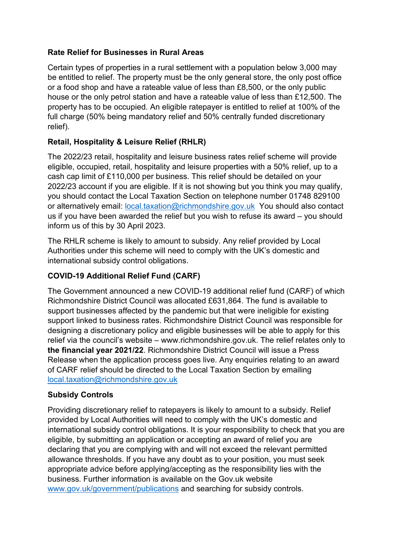# **Rate Relief for Businesses in Rural Areas**

Certain types of properties in a rural settlement with a population below 3,000 may be entitled to relief. The property must be the only general store, the only post office or a food shop and have a rateable value of less than £8,500, or the only public house or the only petrol station and have a rateable value of less than £12,500. The property has to be occupied. An eligible ratepayer is entitled to relief at 100% of the full charge (50% being mandatory relief and 50% centrally funded discretionary relief).

# **Retail, Hospitality & Leisure Relief (RHLR)**

The 2022/23 retail, hospitality and leisure business rates relief scheme will provide eligible, occupied, retail, hospitality and leisure properties with a 50% relief, up to a cash cap limit of £110,000 per business. This relief should be detailed on your 2022/23 account if you are eligible. If it is not showing but you think you may qualify, you should contact the Local Taxation Section on telephone number 01748 829100 or alternatively email: [local.taxation@richmondshire.gov.uk](mailto:local.taxation@richmondshire.gov.uk) You should also contact us if you have been awarded the relief but you wish to refuse its award – you should inform us of this by 30 April 2023.

The RHLR scheme is likely to amount to subsidy. Any relief provided by Local Authorities under this scheme will need to comply with the UK's domestic and international subsidy control obligations.

# **COVID-19 Additional Relief Fund (CARF)**

The Government announced a new COVID-19 additional relief fund (CARF) of which Richmondshire District Council was allocated £631,864. The fund is available to support businesses affected by the pandemic but that were ineligible for existing support linked to business rates. Richmondshire District Council was responsible for designing a discretionary policy and eligible businesses will be able to apply for this relief via the council's website – www.richmondshire.gov.uk. The relief relates only to **the financial year 2021/22**. Richmondshire District Council will issue a Press Release when the application process goes live. Any enquiries relating to an award of CARF relief should be directed to the Local Taxation Section by emailing [local.taxation@richmondshire.gov.uk](mailto:local.taxation@richmondshire.gov.uk)

### **Subsidy Controls**

Providing discretionary relief to ratepayers is likely to amount to a subsidy. Relief provided by Local Authorities will need to comply with the UK's domestic and international subsidy control obligations. It is your responsibility to check that you are eligible, by submitting an application or accepting an award of relief you are declaring that you are complying with and will not exceed the relevant permitted allowance thresholds. If you have any doubt as to your position, you must seek appropriate advice before applying/accepting as the responsibility lies with the business. Further information is available on the Gov.uk website [www.gov.uk/government/publications](http://www.gov.uk/government/publications) and searching for subsidy controls.